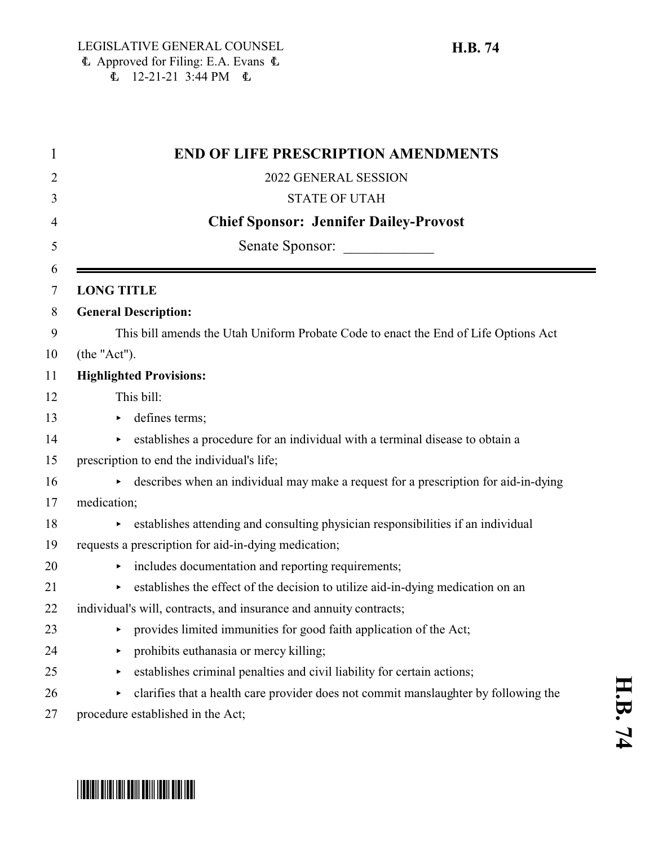|                   | <b>END OF LIFE PRESCRIPTION AMENDMENTS</b>                                          |
|-------------------|-------------------------------------------------------------------------------------|
|                   | 2022 GENERAL SESSION                                                                |
|                   | <b>STATE OF UTAH</b>                                                                |
|                   | <b>Chief Sponsor: Jennifer Dailey-Provost</b>                                       |
|                   | Senate Sponsor:                                                                     |
|                   |                                                                                     |
| <b>LONG TITLE</b> |                                                                                     |
|                   | <b>General Description:</b>                                                         |
|                   | This bill amends the Utah Uniform Probate Code to enact the End of Life Options Act |
| (the "Act").      |                                                                                     |
|                   | <b>Highlighted Provisions:</b>                                                      |
|                   | This bill:                                                                          |
|                   | defines terms;                                                                      |
| Þ.                | establishes a procedure for an individual with a terminal disease to obtain a       |
|                   | prescription to end the individual's life;                                          |
|                   | describes when an individual may make a request for a prescription for aid-in-dying |
| medication;       |                                                                                     |
|                   | establishes attending and consulting physician responsibilities if an individual    |
|                   | requests a prescription for aid-in-dying medication;                                |
|                   | includes documentation and reporting requirements;                                  |
|                   | establishes the effect of the decision to utilize aid-in-dying medication on an     |
|                   | individual's will, contracts, and insurance and annuity contracts;                  |
|                   | provides limited immunities for good faith application of the Act;                  |
| ▶                 | prohibits euthanasia or mercy killing;                                              |
| ▶                 | establishes criminal penalties and civil liability for certain actions;             |
| ٠                 | clarifies that a health care provider does not commit manslaughter by following the |
|                   | procedure established in the Act;                                                   |

# \*HB0074\*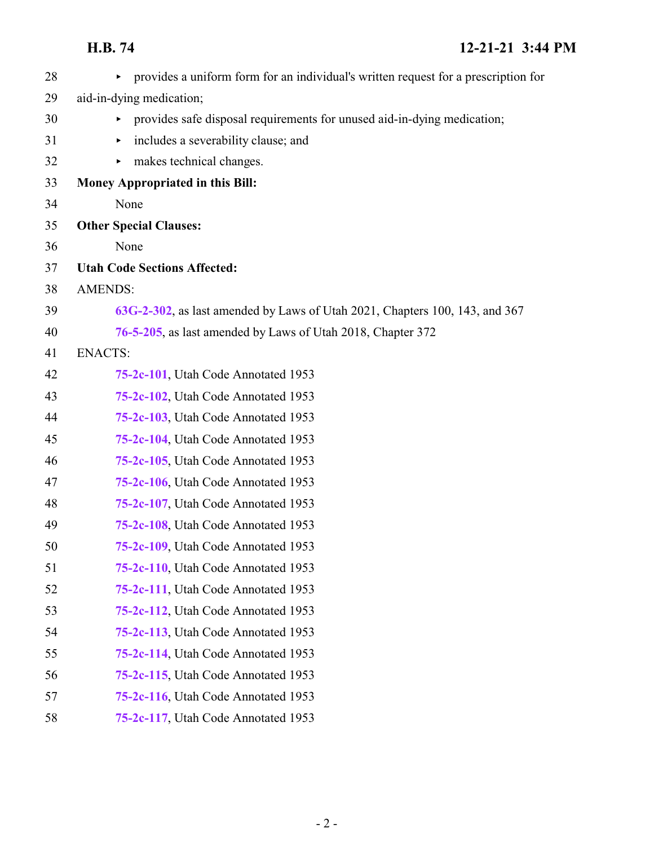| 28 | provides a uniform form for an individual's written request for a prescription for<br>▶ |
|----|-----------------------------------------------------------------------------------------|
| 29 | aid-in-dying medication;                                                                |
| 30 | provides safe disposal requirements for unused aid-in-dying medication;<br>Þ.           |
| 31 | includes a severability clause; and<br>▶                                                |
| 32 | makes technical changes.<br>▶                                                           |
| 33 | <b>Money Appropriated in this Bill:</b>                                                 |
| 34 | None                                                                                    |
| 35 | <b>Other Special Clauses:</b>                                                           |
| 36 | None                                                                                    |
| 37 | <b>Utah Code Sections Affected:</b>                                                     |
| 38 | <b>AMENDS:</b>                                                                          |
| 39 | 63G-2-302, as last amended by Laws of Utah 2021, Chapters 100, 143, and 367             |
| 40 | 76-5-205, as last amended by Laws of Utah 2018, Chapter 372                             |
| 41 | <b>ENACTS:</b>                                                                          |
| 42 | 75-2c-101, Utah Code Annotated 1953                                                     |
| 43 | 75-2c-102, Utah Code Annotated 1953                                                     |
| 44 | 75-2c-103, Utah Code Annotated 1953                                                     |
| 45 | 75-2c-104, Utah Code Annotated 1953                                                     |
| 46 | 75-2c-105, Utah Code Annotated 1953                                                     |
| 47 | 75-2c-106, Utah Code Annotated 1953                                                     |
| 48 | 75-2c-107, Utah Code Annotated 1953                                                     |
| 49 | 75-2c-108, Utah Code Annotated 1953                                                     |
| 50 | 75-2c-109, Utah Code Annotated 1953                                                     |
| 51 | 75-2c-110, Utah Code Annotated 1953                                                     |
| 52 | 75-2c-111, Utah Code Annotated 1953                                                     |
| 53 | 75-2c-112, Utah Code Annotated 1953                                                     |
| 54 | 75-2c-113, Utah Code Annotated 1953                                                     |
| 55 | 75-2c-114, Utah Code Annotated 1953                                                     |
| 56 | 75-2c-115, Utah Code Annotated 1953                                                     |
| 57 | 75-2c-116, Utah Code Annotated 1953                                                     |
| 58 | 75-2c-117, Utah Code Annotated 1953                                                     |
|    |                                                                                         |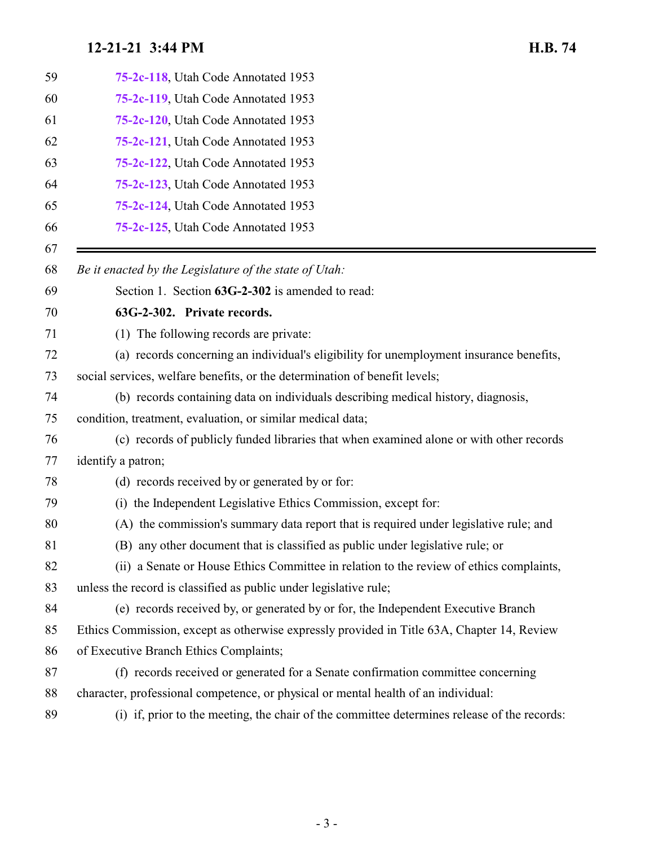<span id="page-2-0"></span>

| 59 | 75-2c-118, Utah Code Annotated 1953                                                         |
|----|---------------------------------------------------------------------------------------------|
| 60 | 75-2c-119, Utah Code Annotated 1953                                                         |
| 61 | 75-2c-120, Utah Code Annotated 1953                                                         |
| 62 | 75-2c-121, Utah Code Annotated 1953                                                         |
| 63 | 75-2c-122, Utah Code Annotated 1953                                                         |
| 64 | 75-2c-123, Utah Code Annotated 1953                                                         |
| 65 | 75-2c-124, Utah Code Annotated 1953                                                         |
| 66 | 75-2c-125, Utah Code Annotated 1953                                                         |
| 67 |                                                                                             |
| 68 | Be it enacted by the Legislature of the state of Utah:                                      |
| 69 | Section 1. Section 63G-2-302 is amended to read:                                            |
| 70 | 63G-2-302. Private records.                                                                 |
| 71 | (1) The following records are private:                                                      |
| 72 | (a) records concerning an individual's eligibility for unemployment insurance benefits,     |
| 73 | social services, welfare benefits, or the determination of benefit levels;                  |
| 74 | (b) records containing data on individuals describing medical history, diagnosis,           |
| 75 | condition, treatment, evaluation, or similar medical data;                                  |
| 76 | (c) records of publicly funded libraries that when examined alone or with other records     |
| 77 | identify a patron;                                                                          |
| 78 | (d) records received by or generated by or for:                                             |
| 79 | the Independent Legislative Ethics Commission, except for:<br>(i)                           |
| 80 | (A) the commission's summary data report that is required under legislative rule; and       |
| 81 | (B) any other document that is classified as public under legislative rule; or              |
| 82 | (ii) a Senate or House Ethics Committee in relation to the review of ethics complaints,     |
| 83 | unless the record is classified as public under legislative rule;                           |
| 84 | (e) records received by, or generated by or for, the Independent Executive Branch           |
| 85 | Ethics Commission, except as otherwise expressly provided in Title 63A, Chapter 14, Review  |
| 86 | of Executive Branch Ethics Complaints;                                                      |
| 87 | (f) records received or generated for a Senate confirmation committee concerning            |
| 88 | character, professional competence, or physical or mental health of an individual:          |
| 89 | (i) if, prior to the meeting, the chair of the committee determines release of the records: |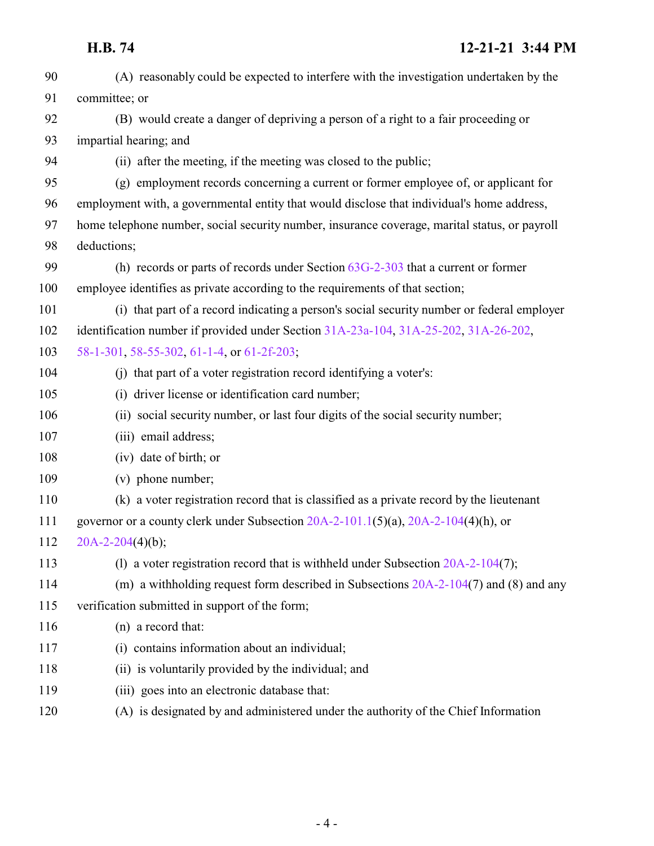| 90  | (A) reasonably could be expected to interfere with the investigation undertaken by the        |
|-----|-----------------------------------------------------------------------------------------------|
| 91  | committee; or                                                                                 |
| 92  | (B) would create a danger of depriving a person of a right to a fair proceeding or            |
| 93  | impartial hearing; and                                                                        |
| 94  | (ii) after the meeting, if the meeting was closed to the public;                              |
| 95  | (g) employment records concerning a current or former employee of, or applicant for           |
| 96  | employment with, a governmental entity that would disclose that individual's home address,    |
| 97  | home telephone number, social security number, insurance coverage, marital status, or payroll |
| 98  | deductions;                                                                                   |
| 99  | (h) records or parts of records under Section $63G-2-303$ that a current or former            |
| 100 | employee identifies as private according to the requirements of that section;                 |
| 101 | (i) that part of a record indicating a person's social security number or federal employer    |
| 102 | identification number if provided under Section 31A-23a-104, 31A-25-202, 31A-26-202,          |
| 103 | 58-1-301, 58-55-302, 61-1-4, or 61-2f-203;                                                    |
| 104 | (i) that part of a voter registration record identifying a voter's:                           |
| 105 | (i) driver license or identification card number;                                             |
| 106 | (ii) social security number, or last four digits of the social security number;               |
| 107 | (iii) email address;                                                                          |
| 108 | (iv) date of birth; or                                                                        |
| 109 | (v) phone number;                                                                             |
| 110 | (k) a voter registration record that is classified as a private record by the lieutenant      |
| 111 | governor or a county clerk under Subsection 20A-2-101.1(5)(a), 20A-2-104(4)(h), or            |
| 112 | $20A-2-204(4)(b);$                                                                            |
| 113 | (1) a voter registration record that is withheld under Subsection $20A-2-104(7)$ ;            |
| 114 | (m) a withholding request form described in Subsections $20A-2-104(7)$ and (8) and any        |
| 115 | verification submitted in support of the form;                                                |
| 116 | (n) a record that:                                                                            |
| 117 | (i) contains information about an individual;                                                 |
| 118 | (ii) is voluntarily provided by the individual; and                                           |
| 119 | (iii) goes into an electronic database that:                                                  |
| 120 | (A) is designated by and administered under the authority of the Chief Information            |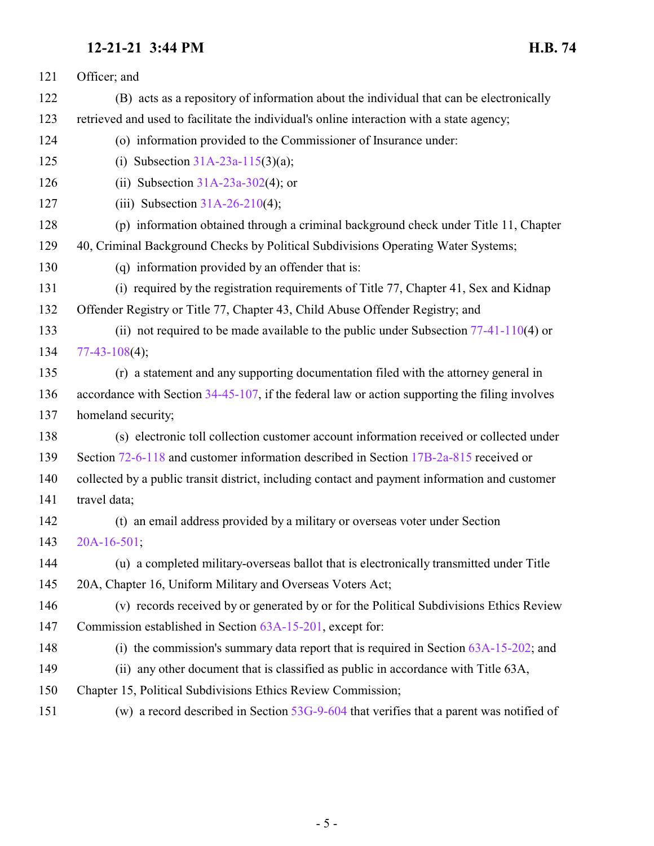| 121 | Officer; and                                                                                   |
|-----|------------------------------------------------------------------------------------------------|
| 122 | (B) acts as a repository of information about the individual that can be electronically        |
| 123 | retrieved and used to facilitate the individual's online interaction with a state agency;      |
| 124 | (o) information provided to the Commissioner of Insurance under:                               |
| 125 | (i) Subsection $31A-23a-115(3)(a)$ ;                                                           |
| 126 | (ii) Subsection $31A-23a-302(4)$ ; or                                                          |
| 127 | (iii) Subsection $31A-26-210(4)$ ;                                                             |
| 128 | (p) information obtained through a criminal background check under Title 11, Chapter           |
| 129 | 40, Criminal Background Checks by Political Subdivisions Operating Water Systems;              |
| 130 | (q) information provided by an offender that is:                                               |
| 131 | (i) required by the registration requirements of Title 77, Chapter 41, Sex and Kidnap          |
| 132 | Offender Registry or Title 77, Chapter 43, Child Abuse Offender Registry; and                  |
| 133 | (ii) not required to be made available to the public under Subsection $77-41-110(4)$ or        |
| 134 | $77-43-108(4);$                                                                                |
| 135 | (r) a statement and any supporting documentation filed with the attorney general in            |
| 136 | accordance with Section 34-45-107, if the federal law or action supporting the filing involves |
| 137 | homeland security;                                                                             |
| 138 | (s) electronic toll collection customer account information received or collected under        |
| 139 | Section 72-6-118 and customer information described in Section 17B-2a-815 received or          |
| 140 | collected by a public transit district, including contact and payment information and customer |
| 141 | travel data;                                                                                   |
| 142 | (t) an email address provided by a military or overseas voter under Section                    |
| 143 | $20A-16-501$ ;                                                                                 |
| 144 | (u) a completed military-overseas ballot that is electronically transmitted under Title        |
| 145 | 20A, Chapter 16, Uniform Military and Overseas Voters Act;                                     |
| 146 | (v) records received by or generated by or for the Political Subdivisions Ethics Review        |
| 147 | Commission established in Section 63A-15-201, except for:                                      |
| 148 | (i) the commission's summary data report that is required in Section $63A-15-202$ ; and        |
| 149 | (ii) any other document that is classified as public in accordance with Title 63A,             |
| 150 | Chapter 15, Political Subdivisions Ethics Review Commission;                                   |
|     |                                                                                                |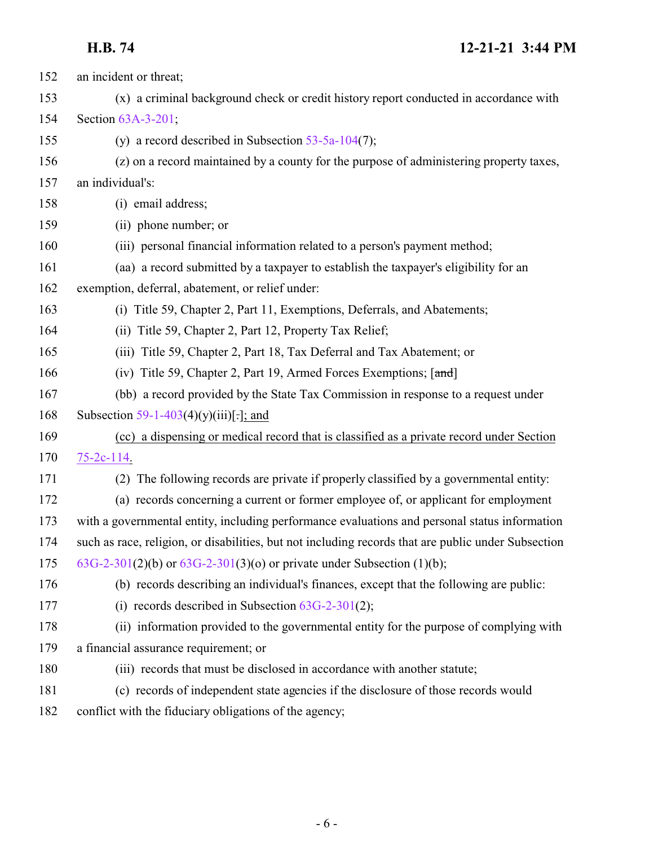# **H.B. 74 12-21-21 3:44 PM**

| 152 | an incident or threat;                                                                              |
|-----|-----------------------------------------------------------------------------------------------------|
| 153 | (x) a criminal background check or credit history report conducted in accordance with               |
| 154 | Section 63A-3-201;                                                                                  |
| 155 | (y) a record described in Subsection $53-5a-104(7)$ ;                                               |
| 156 | (z) on a record maintained by a county for the purpose of administering property taxes,             |
| 157 | an individual's:                                                                                    |
| 158 | (i) email address;                                                                                  |
| 159 | (ii) phone number; or                                                                               |
| 160 | (iii) personal financial information related to a person's payment method;                          |
| 161 | (aa) a record submitted by a taxpayer to establish the taxpayer's eligibility for an                |
| 162 | exemption, deferral, abatement, or relief under:                                                    |
| 163 | (i) Title 59, Chapter 2, Part 11, Exemptions, Deferrals, and Abatements;                            |
| 164 | (ii) Title 59, Chapter 2, Part 12, Property Tax Relief;                                             |
| 165 | (iii) Title 59, Chapter 2, Part 18, Tax Deferral and Tax Abatement; or                              |
| 166 | (iv) Title 59, Chapter 2, Part 19, Armed Forces Exemptions; [and]                                   |
| 167 | (bb) a record provided by the State Tax Commission in response to a request under                   |
| 168 | Subsection 59-1-403(4)(y)(iii)[:]; and                                                              |
| 169 | (cc) a dispensing or medical record that is classified as a private record under Section            |
| 170 | $75-2c-114$ .                                                                                       |
| 171 | (2) The following records are private if properly classified by a governmental entity:              |
| 172 | (a) records concerning a current or former employee of, or applicant for employment                 |
| 173 | with a governmental entity, including performance evaluations and personal status information       |
| 174 | such as race, religion, or disabilities, but not including records that are public under Subsection |
| 175 | 63G-2-301(2)(b) or $63G-2-301(3)(o)$ or private under Subsection (1)(b);                            |
| 176 | (b) records describing an individual's finances, except that the following are public:              |
| 177 | (i) records described in Subsection $63G-2-301(2)$ ;                                                |
| 178 | (ii) information provided to the governmental entity for the purpose of complying with              |
| 179 | a financial assurance requirement; or                                                               |
| 180 | (iii) records that must be disclosed in accordance with another statute;                            |
| 181 | (c) records of independent state agencies if the disclosure of those records would                  |
| 182 | conflict with the fiduciary obligations of the agency;                                              |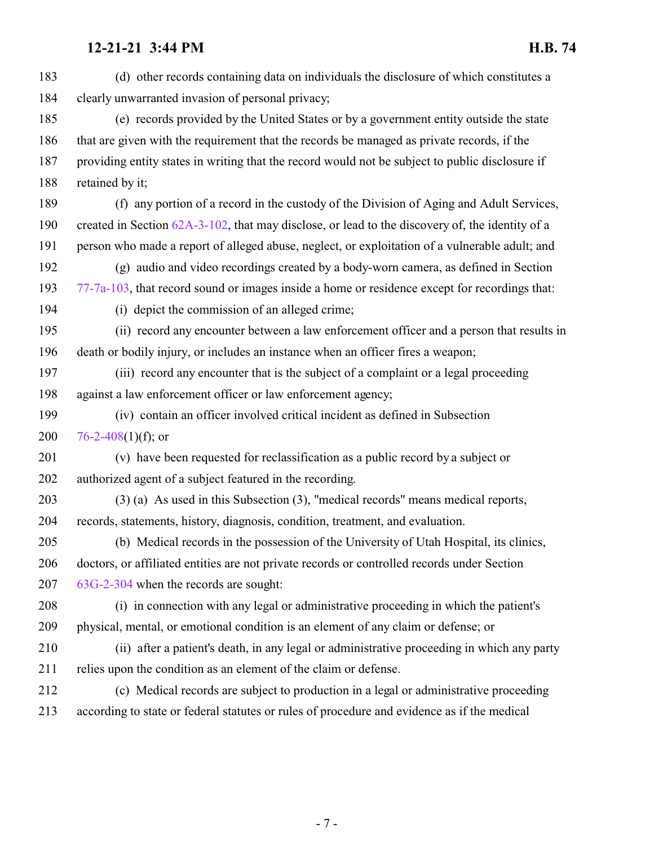(d) other records containing data on individuals the disclosure of which constitutes a clearly unwarranted invasion of personal privacy; (e) records provided by the United States or by a government entity outside the state that are given with the requirement that the records be managed as private records, if the providing entity states in writing that the record would not be subject to public disclosure if retained by it; (f) any portion of a record in the custody of the Division of Aging and Adult Services, created in Section [62A-3-102](http://le.utah.gov/UtahCode/SectionLookup.jsp?section=62a-3-102&session=2022GS), that may disclose, or lead to the discovery of, the identity of a person who made a report of alleged abuse, neglect, or exploitation of a vulnerable adult; and (g) audio and video recordings created by a body-worn camera, as defined in Section [77-7a-103](http://le.utah.gov/UtahCode/SectionLookup.jsp?section=77-7a-103&session=2022GS), that record sound or images inside a home or residence except for recordings that: (i) depict the commission of an alleged crime; (ii) record any encounter between a law enforcement officer and a person that results in death or bodily injury, or includes an instance when an officer fires a weapon; (iii) record any encounter that is the subject of a complaint or a legal proceeding against a law enforcement officer or law enforcement agency; (iv) contain an officer involved critical incident as defined in Subsection  $76-2-408(1)(f)$  $76-2-408(1)(f)$ ; or (v) have been requested for reclassification as a public record by a subject or authorized agent of a subject featured in the recording. (3) (a) As used in this Subsection (3), "medical records" means medical reports, records, statements, history, diagnosis, condition, treatment, and evaluation. (b) Medical records in the possession of the University of Utah Hospital, its clinics, doctors, or affiliated entities are not private records or controlled records under Section [63G-2-304](http://le.utah.gov/UtahCode/SectionLookup.jsp?section=63g-2-304&session=2022GS) when the records are sought: (i) in connection with any legal or administrative proceeding in which the patient's physical, mental, or emotional condition is an element of any claim or defense; or (ii) after a patient's death, in any legal or administrative proceeding in which any party relies upon the condition as an element of the claim or defense. (c) Medical records are subject to production in a legal or administrative proceeding according to state or federal statutes or rules of procedure and evidence as if the medical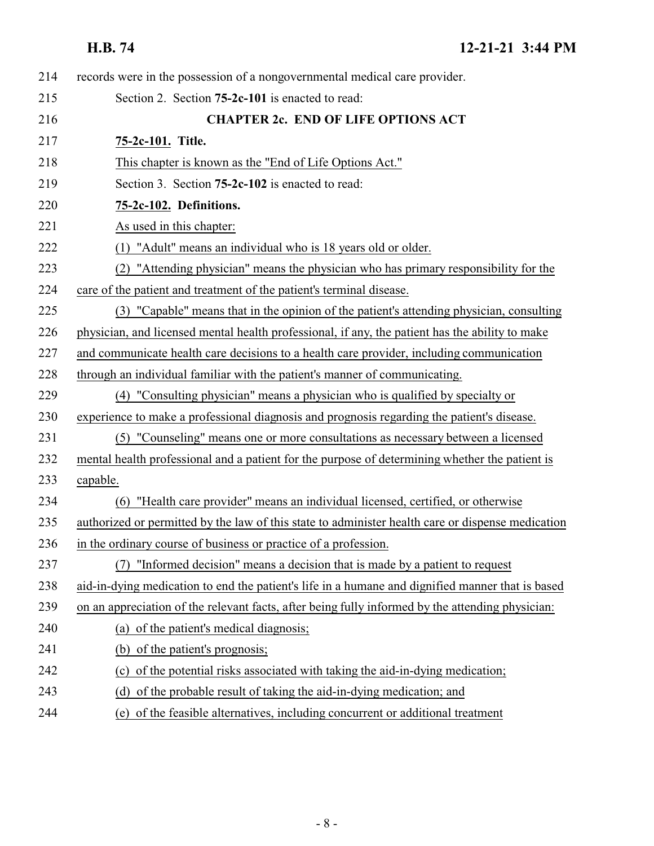<span id="page-7-1"></span><span id="page-7-0"></span>

| 214 | records were in the possession of a nongovernmental medical care provider.                        |
|-----|---------------------------------------------------------------------------------------------------|
| 215 | Section 2. Section 75-2c-101 is enacted to read:                                                  |
| 216 | <b>CHAPTER 2c. END OF LIFE OPTIONS ACT</b>                                                        |
| 217 | 75-2c-101. Title.                                                                                 |
| 218 | This chapter is known as the "End of Life Options Act."                                           |
| 219 | Section 3. Section <b>75-2c-102</b> is enacted to read:                                           |
| 220 | 75-2c-102. Definitions.                                                                           |
| 221 | As used in this chapter:                                                                          |
| 222 | (1) "Adult" means an individual who is 18 years old or older.                                     |
| 223 | (2) "Attending physician" means the physician who has primary responsibility for the              |
| 224 | care of the patient and treatment of the patient's terminal disease.                              |
| 225 | (3) "Capable" means that in the opinion of the patient's attending physician, consulting          |
| 226 | physician, and licensed mental health professional, if any, the patient has the ability to make   |
| 227 | and communicate health care decisions to a health care provider, including communication          |
| 228 | through an individual familiar with the patient's manner of communicating.                        |
| 229 | (4) "Consulting physician" means a physician who is qualified by specialty or                     |
| 230 | experience to make a professional diagnosis and prognosis regarding the patient's disease.        |
| 231 | (5) "Counseling" means one or more consultations as necessary between a licensed                  |
| 232 | mental health professional and a patient for the purpose of determining whether the patient is    |
| 233 | capable.                                                                                          |
| 234 | "Health care provider" means an individual licensed, certified, or otherwise<br>(6)               |
| 235 | authorized or permitted by the law of this state to administer health care or dispense medication |
| 236 | in the ordinary course of business or practice of a profession.                                   |
| 237 | "Informed decision" means a decision that is made by a patient to request<br>(7)                  |
| 238 | aid-in-dying medication to end the patient's life in a humane and dignified manner that is based  |
| 239 | on an appreciation of the relevant facts, after being fully informed by the attending physician:  |
| 240 | (a) of the patient's medical diagnosis;                                                           |
| 241 | (b) of the patient's prognosis;                                                                   |
| 242 | (c) of the potential risks associated with taking the aid-in-dying medication;                    |
| 243 | (d) of the probable result of taking the aid-in-dying medication; and                             |
| 244 | (e) of the feasible alternatives, including concurrent or additional treatment                    |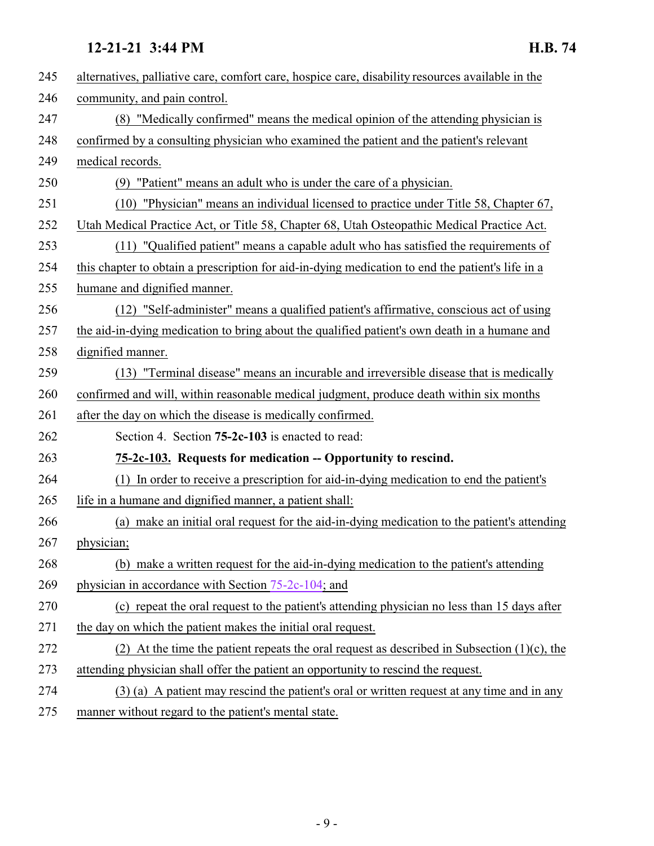<span id="page-8-0"></span>

| 245 | alternatives, palliative care, comfort care, hospice care, disability resources available in the |
|-----|--------------------------------------------------------------------------------------------------|
| 246 | community, and pain control.                                                                     |
| 247 | (8) "Medically confirmed" means the medical opinion of the attending physician is                |
| 248 | confirmed by a consulting physician who examined the patient and the patient's relevant          |
| 249 | medical records.                                                                                 |
| 250 | (9) "Patient" means an adult who is under the care of a physician.                               |
| 251 | "Physician" means an individual licensed to practice under Title 58, Chapter 67,<br>(10)         |
| 252 | Utah Medical Practice Act, or Title 58, Chapter 68, Utah Osteopathic Medical Practice Act.       |
| 253 | (11) "Qualified patient" means a capable adult who has satisfied the requirements of             |
| 254 | this chapter to obtain a prescription for aid-in-dying medication to end the patient's life in a |
| 255 | humane and dignified manner.                                                                     |
| 256 | (12) "Self-administer" means a qualified patient's affirmative, conscious act of using           |
| 257 | the aid-in-dying medication to bring about the qualified patient's own death in a humane and     |
| 258 | dignified manner.                                                                                |
| 259 | (13) "Terminal disease" means an incurable and irreversible disease that is medically            |
| 260 | confirmed and will, within reasonable medical judgment, produce death within six months          |
| 261 | after the day on which the disease is medically confirmed.                                       |
| 262 | Section 4. Section <b>75-2c-103</b> is enacted to read:                                          |
| 263 | 75-2c-103. Requests for medication -- Opportunity to rescind.                                    |
| 264 | (1) In order to receive a prescription for aid-in-dying medication to end the patient's          |
| 265 | life in a humane and dignified manner, a patient shall:                                          |
| 266 | (a) make an initial oral request for the aid-in-dying medication to the patient's attending      |
| 267 | physician;                                                                                       |
| 268 | (b) make a written request for the aid-in-dying medication to the patient's attending            |
| 269 | physician in accordance with Section 75-2c-104; and                                              |
| 270 | (c) repeat the oral request to the patient's attending physician no less than 15 days after      |
| 271 | the day on which the patient makes the initial oral request.                                     |
| 272 | (2) At the time the patient repeats the oral request as described in Subsection $(1)(c)$ , the   |
| 273 | attending physician shall offer the patient an opportunity to rescind the request.               |
| 274 | (3) (a) A patient may rescind the patient's oral or written request at any time and in any       |
| 275 | manner without regard to the patient's mental state.                                             |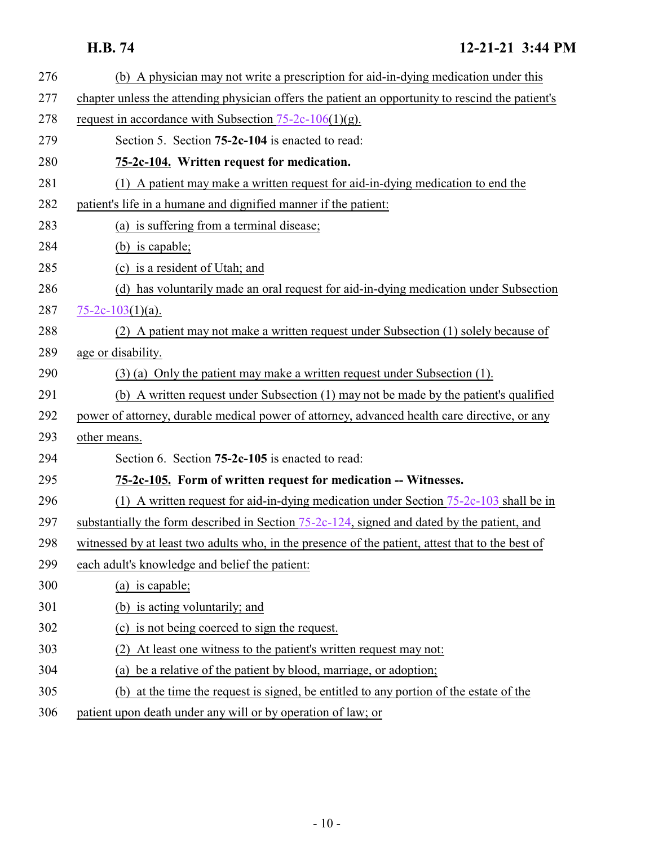# <span id="page-9-0"></span>**H.B. 74 12-21-21 3:44 PM**

<span id="page-9-1"></span>

| 276 | (b) A physician may not write a prescription for aid-in-dying medication under this               |
|-----|---------------------------------------------------------------------------------------------------|
| 277 | chapter unless the attending physician offers the patient an opportunity to rescind the patient's |
| 278 | request in accordance with Subsection $75-2c-106(1)(g)$ .                                         |
| 279 | Section 5. Section <b>75-2c-104</b> is enacted to read:                                           |
| 280 | 75-2c-104. Written request for medication.                                                        |
| 281 | (1) A patient may make a written request for aid-in-dying medication to end the                   |
| 282 | patient's life in a humane and dignified manner if the patient:                                   |
| 283 | (a) is suffering from a terminal disease;                                                         |
| 284 | (b) is capable;                                                                                   |
| 285 | (c) is a resident of Utah; and                                                                    |
| 286 | (d) has voluntarily made an oral request for aid-in-dying medication under Subsection             |
| 287 | $75-2c-103(1)(a)$ .                                                                               |
| 288 | (2) A patient may not make a written request under Subsection (1) solely because of               |
| 289 | age or disability.                                                                                |
| 290 | $(3)$ (a) Only the patient may make a written request under Subsection (1).                       |
| 291 | (b) A written request under Subsection (1) may not be made by the patient's qualified             |
| 292 | power of attorney, durable medical power of attorney, advanced health care directive, or any      |
| 293 | other means.                                                                                      |
| 294 | Section 6. Section 75-2c-105 is enacted to read:                                                  |
| 295 | 75-2c-105. Form of written request for medication -- Witnesses.                                   |
| 296 | (1) A written request for aid-in-dying medication under Section $75-2c-103$ shall be in           |
| 297 | substantially the form described in Section 75-2c-124, signed and dated by the patient, and       |
| 298 | witnessed by at least two adults who, in the presence of the patient, attest that to the best of  |
| 299 | each adult's knowledge and belief the patient:                                                    |
| 300 | (a) is capable;                                                                                   |
| 301 | (b) is acting voluntarily; and                                                                    |
| 302 | (c) is not being coerced to sign the request.                                                     |
| 303 | At least one witness to the patient's written request may not:                                    |
| 304 | be a relative of the patient by blood, marriage, or adoption;<br>(a)                              |
| 305 | (b) at the time the request is signed, be entitled to any portion of the estate of the            |
| 306 | patient upon death under any will or by operation of law; or                                      |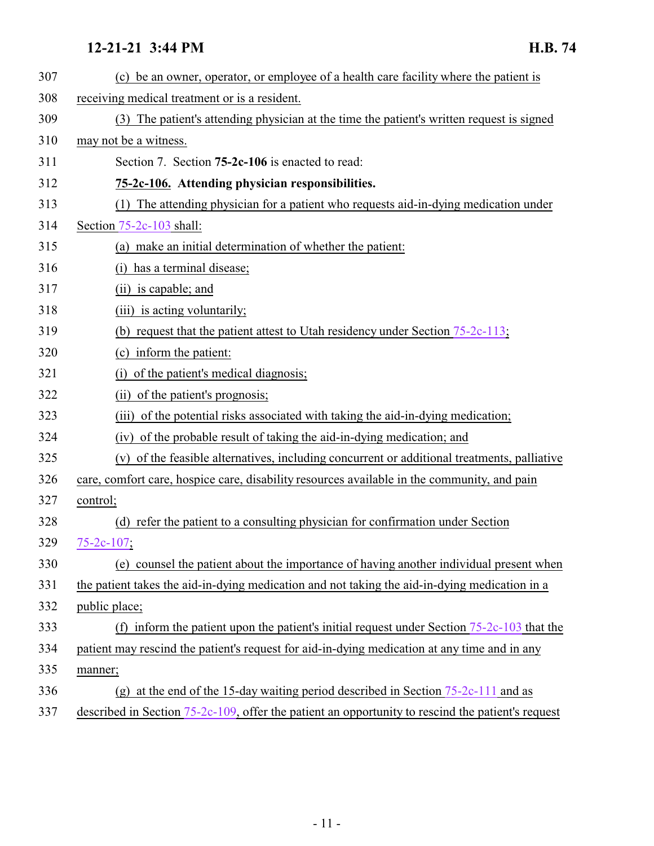<span id="page-10-0"></span>

| 307 | (c) be an owner, operator, or employee of a health care facility where the patient is             |
|-----|---------------------------------------------------------------------------------------------------|
| 308 | receiving medical treatment or is a resident.                                                     |
| 309 | (3) The patient's attending physician at the time the patient's written request is signed         |
| 310 | may not be a witness.                                                                             |
| 311 | Section 7. Section <b>75-2c-106</b> is enacted to read:                                           |
| 312 | 75-2c-106. Attending physician responsibilities.                                                  |
| 313 | (1) The attending physician for a patient who requests aid-in-dying medication under              |
| 314 | Section $75-2c-103$ shall:                                                                        |
| 315 | (a) make an initial determination of whether the patient:                                         |
| 316 | has a terminal disease;                                                                           |
| 317 | (ii) is capable; and                                                                              |
| 318 | (iii) is acting voluntarily;                                                                      |
| 319 | (b) request that the patient attest to Utah residency under Section $75-2c-113$ ;                 |
| 320 | (c) inform the patient:                                                                           |
| 321 | of the patient's medical diagnosis;<br>(i)                                                        |
| 322 | (ii) of the patient's prognosis;                                                                  |
| 323 | (iii) of the potential risks associated with taking the aid-in-dying medication;                  |
| 324 | (iv) of the probable result of taking the aid-in-dying medication; and                            |
| 325 | (v) of the feasible alternatives, including concurrent or additional treatments, palliative       |
| 326 | care, comfort care, hospice care, disability resources available in the community, and pain       |
| 327 | control;                                                                                          |
| 328 | (d) refer the patient to a consulting physician for confirmation under Section                    |
| 329 | $75 - 2c - 107$ ;                                                                                 |
| 330 | (e) counsel the patient about the importance of having another individual present when            |
| 331 | the patient takes the aid-in-dying medication and not taking the aid-in-dying medication in a     |
| 332 | public place;                                                                                     |
| 333 | (f) inform the patient upon the patient's initial request under Section $75-2c-103$ that the      |
| 334 | patient may rescind the patient's request for aid-in-dying medication at any time and in any      |
| 335 | manner;                                                                                           |
| 336 | (g) at the end of the 15-day waiting period described in Section $75-2c-111$ and as               |
| 337 | described in Section 75-2c-109, offer the patient an opportunity to rescind the patient's request |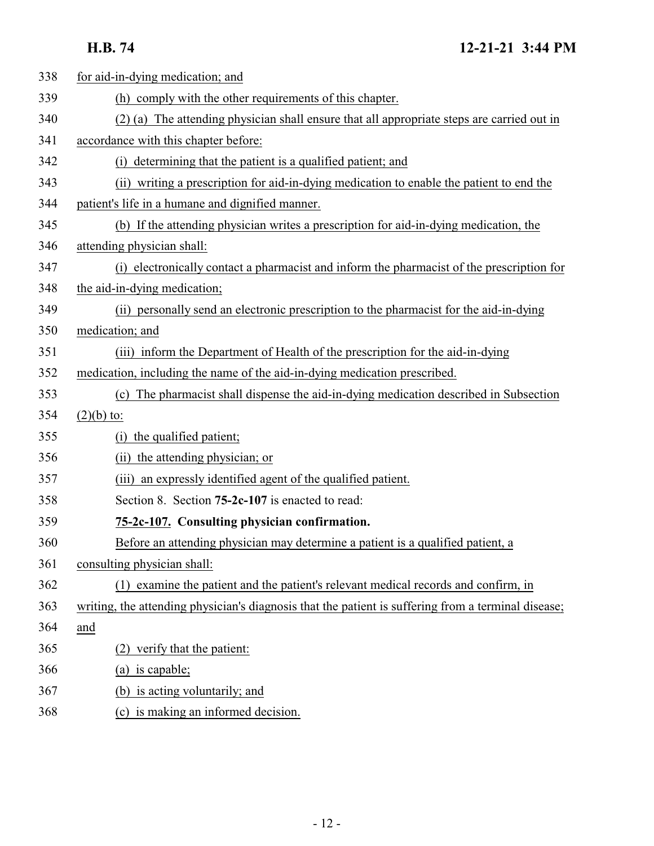**H.B. 74 12-21-21 3:44 PM**

<span id="page-11-0"></span>

| 338 | for aid-in-dying medication; and                                                                    |
|-----|-----------------------------------------------------------------------------------------------------|
| 339 | (h) comply with the other requirements of this chapter.                                             |
| 340 | (2) (a) The attending physician shall ensure that all appropriate steps are carried out in          |
| 341 | accordance with this chapter before:                                                                |
| 342 | determining that the patient is a qualified patient; and<br>(i)                                     |
| 343 | (ii) writing a prescription for aid-in-dying medication to enable the patient to end the            |
| 344 | patient's life in a humane and dignified manner.                                                    |
| 345 | (b) If the attending physician writes a prescription for aid-in-dying medication, the               |
| 346 | attending physician shall:                                                                          |
| 347 | (i) electronically contact a pharmacist and inform the pharmacist of the prescription for           |
| 348 | the aid-in-dying medication;                                                                        |
| 349 | (ii) personally send an electronic prescription to the pharmacist for the aid-in-dying              |
| 350 | medication; and                                                                                     |
| 351 | (iii) inform the Department of Health of the prescription for the aid-in-dying                      |
| 352 | medication, including the name of the aid-in-dying medication prescribed.                           |
| 353 | (c) The pharmacist shall dispense the aid-in-dying medication described in Subsection               |
| 354 | $(2)(b)$ to:                                                                                        |
| 355 | (i) the qualified patient;                                                                          |
| 356 | (ii) the attending physician; or                                                                    |
| 357 | (iii) an expressly identified agent of the qualified patient.                                       |
| 358 | Section 8. Section <b>75-2c-107</b> is enacted to read:                                             |
| 359 | 75-2c-107. Consulting physician confirmation.                                                       |
| 360 | Before an attending physician may determine a patient is a qualified patient, a                     |
| 361 | consulting physician shall:                                                                         |
| 362 | (1) examine the patient and the patient's relevant medical records and confirm, in                  |
| 363 | writing, the attending physician's diagnosis that the patient is suffering from a terminal disease; |
| 364 | and                                                                                                 |
| 365 | verify that the patient:<br>(2)                                                                     |
| 366 | (a) is capable;                                                                                     |
| 367 | (b) is acting voluntarily; and                                                                      |
| 368 | (c) is making an informed decision.                                                                 |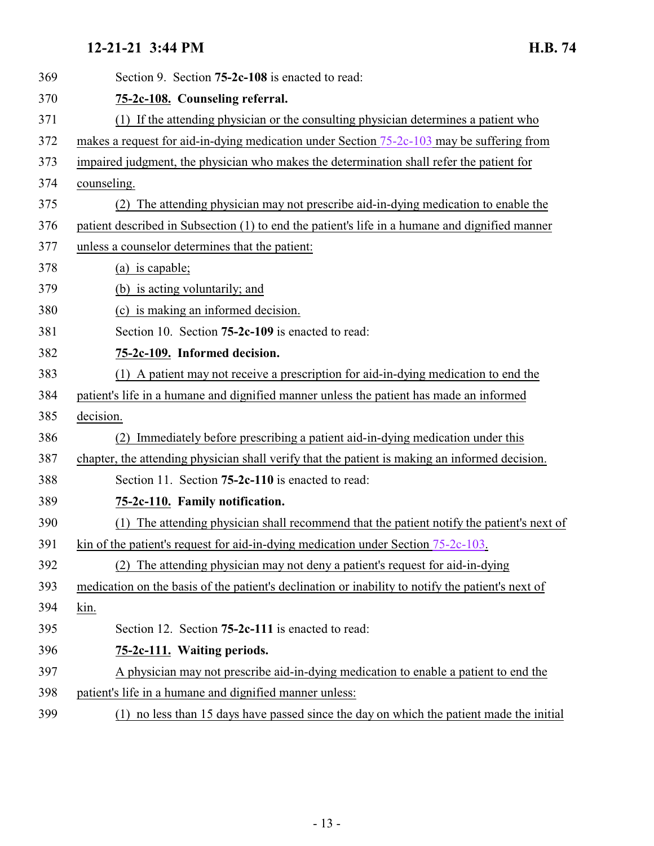<span id="page-12-3"></span><span id="page-12-2"></span><span id="page-12-1"></span><span id="page-12-0"></span>

| 369 | Section 9. Section <b>75-2c-108</b> is enacted to read:                                           |
|-----|---------------------------------------------------------------------------------------------------|
| 370 | 75-2c-108. Counseling referral.                                                                   |
| 371 | (1) If the attending physician or the consulting physician determines a patient who               |
| 372 | makes a request for aid-in-dying medication under Section 75-2c-103 may be suffering from         |
| 373 | impaired judgment, the physician who makes the determination shall refer the patient for          |
| 374 | counseling.                                                                                       |
| 375 | (2) The attending physician may not prescribe aid-in-dying medication to enable the               |
| 376 | patient described in Subsection (1) to end the patient's life in a humane and dignified manner    |
| 377 | unless a counselor determines that the patient:                                                   |
| 378 | (a) is capable;                                                                                   |
| 379 | (b) is acting voluntarily; and                                                                    |
| 380 | (c) is making an informed decision.                                                               |
| 381 | Section 10. Section 75-2c-109 is enacted to read:                                                 |
| 382 | 75-2c-109. Informed decision.                                                                     |
| 383 | (1) A patient may not receive a prescription for aid-in-dying medication to end the               |
| 384 | patient's life in a humane and dignified manner unless the patient has made an informed           |
| 385 | decision.                                                                                         |
| 386 | Immediately before prescribing a patient aid-in-dying medication under this                       |
| 387 | chapter, the attending physician shall verify that the patient is making an informed decision.    |
| 388 | Section 11. Section <b>75-2c-110</b> is enacted to read:                                          |
| 389 | 75-2c-110. Family notification.                                                                   |
| 390 | The attending physician shall recommend that the patient notify the patient's next of<br>(1)      |
| 391 | kin of the patient's request for aid-in-dying medication under Section 75-2c-103.                 |
| 392 | The attending physician may not deny a patient's request for aid-in-dying<br>(2)                  |
| 393 | medication on the basis of the patient's declination or inability to notify the patient's next of |
| 394 | kin.                                                                                              |
| 395 | Section 12. Section 75-2c-111 is enacted to read:                                                 |
| 396 | 75-2c-111. Waiting periods.                                                                       |
| 397 | A physician may not prescribe aid-in-dying medication to enable a patient to end the              |
| 398 | patient's life in a humane and dignified manner unless:                                           |
| 399 | (1) no less than 15 days have passed since the day on which the patient made the initial          |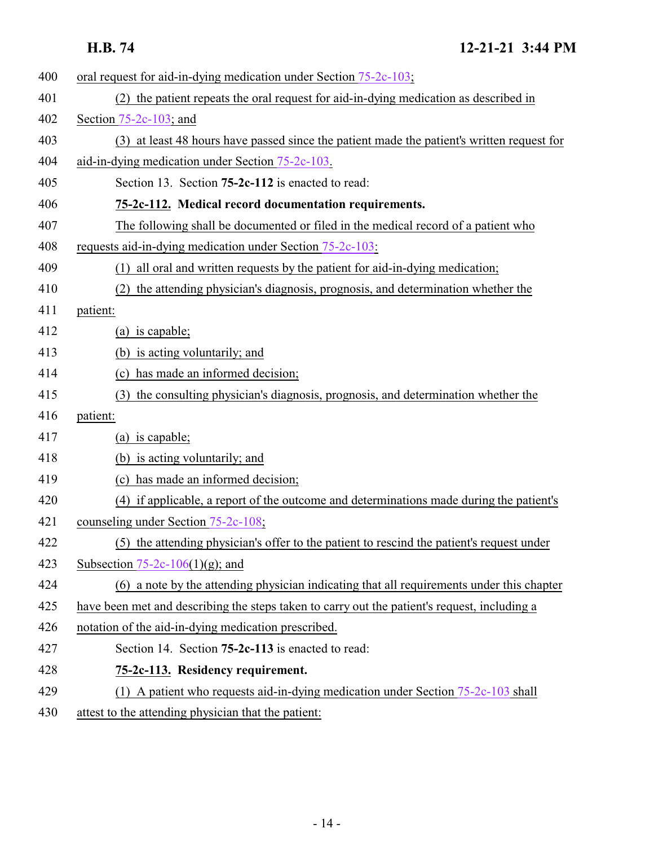<span id="page-13-1"></span><span id="page-13-0"></span>

| 400 | oral request for aid-in-dying medication under Section 75-2c-103;                            |
|-----|----------------------------------------------------------------------------------------------|
| 401 | (2) the patient repeats the oral request for aid-in-dying medication as described in         |
| 402 | Section $75-2c-103$ ; and                                                                    |
| 403 | (3) at least 48 hours have passed since the patient made the patient's written request for   |
| 404 | aid-in-dying medication under Section 75-2c-103.                                             |
| 405 | Section 13. Section 75-2c-112 is enacted to read:                                            |
| 406 | 75-2c-112. Medical record documentation requirements.                                        |
| 407 | The following shall be documented or filed in the medical record of a patient who            |
| 408 | requests aid-in-dying medication under Section 75-2c-103:                                    |
| 409 | (1) all oral and written requests by the patient for aid-in-dying medication;                |
| 410 | (2) the attending physician's diagnosis, prognosis, and determination whether the            |
| 411 | patient:                                                                                     |
| 412 | (a) is capable;                                                                              |
| 413 | (b) is acting voluntarily; and                                                               |
| 414 | (c) has made an informed decision;                                                           |
| 415 | (3) the consulting physician's diagnosis, prognosis, and determination whether the           |
| 416 | patient:                                                                                     |
| 417 | (a) is capable;                                                                              |
| 418 | (b) is acting voluntarily; and                                                               |
| 419 | (c) has made an informed decision;                                                           |
| 420 | (4) if applicable, a report of the outcome and determinations made during the patient's      |
| 421 | counseling under Section 75-2c-108;                                                          |
| 422 | (5) the attending physician's offer to the patient to rescind the patient's request under    |
| 423 | Subsection 75-2c-106(1)(g); and                                                              |
| 424 | (6) a note by the attending physician indicating that all requirements under this chapter    |
| 425 | have been met and describing the steps taken to carry out the patient's request, including a |
| 426 | notation of the aid-in-dying medication prescribed.                                          |
| 427 | Section 14. Section 75-2c-113 is enacted to read:                                            |
| 428 | 75-2c-113. Residency requirement.                                                            |
| 429 | (1) A patient who requests aid-in-dying medication under Section $75-2c-103$ shall           |
| 430 | attest to the attending physician that the patient:                                          |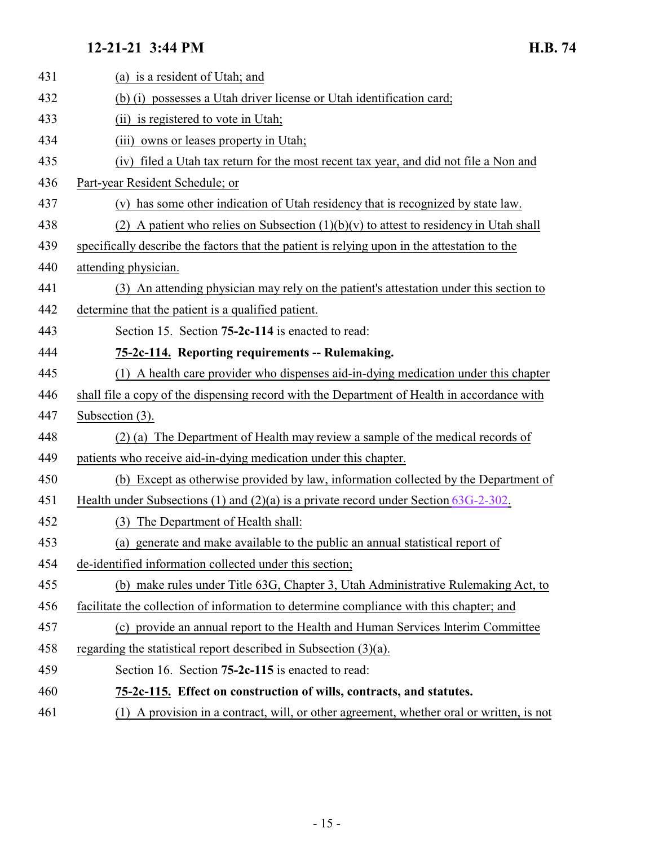<span id="page-14-1"></span><span id="page-14-0"></span>

| 431 | (a) is a resident of Utah; and                                                               |
|-----|----------------------------------------------------------------------------------------------|
| 432 | (b) (i) possesses a Utah driver license or Utah identification card;                         |
| 433 | (ii) is registered to vote in Utah;                                                          |
| 434 | owns or leases property in Utah;<br>(iii)                                                    |
| 435 | filed a Utah tax return for the most recent tax year, and did not file a Non and<br>(iv)     |
| 436 | Part-year Resident Schedule; or                                                              |
| 437 | (v) has some other indication of Utah residency that is recognized by state law.             |
| 438 | (2) A patient who relies on Subsection $(1)(b)(v)$ to attest to residency in Utah shall      |
| 439 | specifically describe the factors that the patient is relying upon in the attestation to the |
| 440 | attending physician.                                                                         |
| 441 | (3) An attending physician may rely on the patient's attestation under this section to       |
| 442 | determine that the patient is a qualified patient.                                           |
| 443 | Section 15. Section <b>75-2c-114</b> is enacted to read:                                     |
| 444 | 75-2c-114. Reporting requirements -- Rulemaking.                                             |
| 445 | (1) A health care provider who dispenses aid-in-dying medication under this chapter          |
| 446 | shall file a copy of the dispensing record with the Department of Health in accordance with  |
| 447 | Subsection (3).                                                                              |
| 448 | (2) (a) The Department of Health may review a sample of the medical records of               |
| 449 | patients who receive aid-in-dying medication under this chapter.                             |
| 450 | (b) Except as otherwise provided by law, information collected by the Department of          |
| 451 | Health under Subsections (1) and (2)(a) is a private record under Section $63G-2-302$ .      |
| 452 | (3) The Department of Health shall:                                                          |
| 453 | (a) generate and make available to the public an annual statistical report of                |
| 454 | de-identified information collected under this section;                                      |
| 455 | (b) make rules under Title 63G, Chapter 3, Utah Administrative Rulemaking Act, to            |
| 456 | facilitate the collection of information to determine compliance with this chapter; and      |
| 457 | (c) provide an annual report to the Health and Human Services Interim Committee              |
| 458 | regarding the statistical report described in Subsection $(3)(a)$ .                          |
| 459 | Section 16. Section 75-2c-115 is enacted to read:                                            |
| 460 | 75-2c-115. Effect on construction of wills, contracts, and statutes.                         |
| 461 | (1) A provision in a contract, will, or other agreement, whether oral or written, is not     |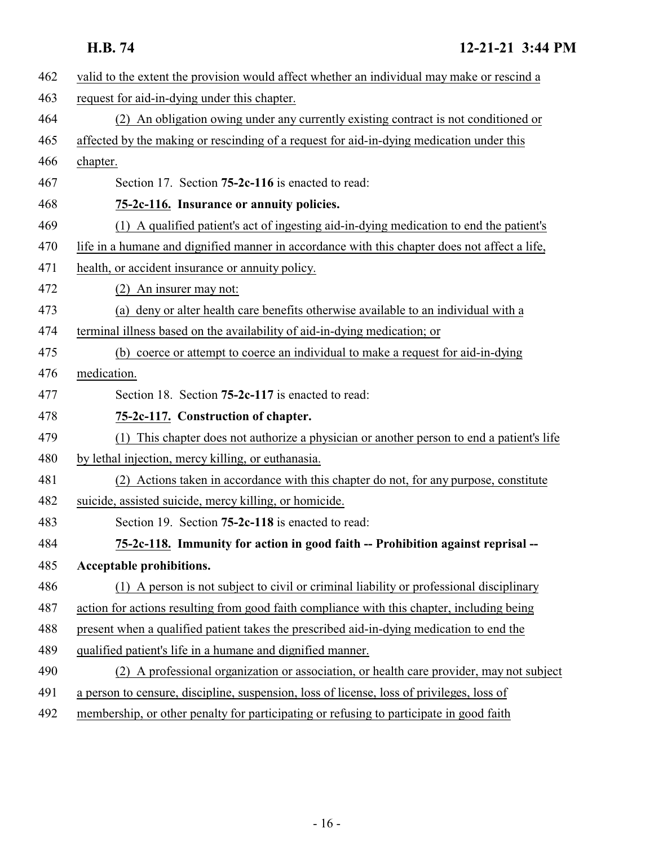<span id="page-15-2"></span><span id="page-15-1"></span><span id="page-15-0"></span>

| 462 | valid to the extent the provision would affect whether an individual may make or rescind a    |
|-----|-----------------------------------------------------------------------------------------------|
| 463 | request for aid-in-dying under this chapter.                                                  |
| 464 | (2) An obligation owing under any currently existing contract is not conditioned or           |
| 465 | affected by the making or rescinding of a request for aid-in-dying medication under this      |
| 466 | chapter.                                                                                      |
| 467 | Section 17. Section <b>75-2c-116</b> is enacted to read:                                      |
| 468 | 75-2c-116. Insurance or annuity policies.                                                     |
| 469 | (1) A qualified patient's act of ingesting aid-in-dying medication to end the patient's       |
| 470 | life in a humane and dignified manner in accordance with this chapter does not affect a life, |
| 471 | health, or accident insurance or annuity policy.                                              |
| 472 | An insurer may not:                                                                           |
| 473 | (a) deny or alter health care benefits otherwise available to an individual with a            |
| 474 | terminal illness based on the availability of aid-in-dying medication; or                     |
| 475 | (b) coerce or attempt to coerce an individual to make a request for aid-in-dying              |
| 476 | medication.                                                                                   |
| 477 | Section 18. Section <b>75-2c-117</b> is enacted to read:                                      |
| 478 | 75-2c-117. Construction of chapter.                                                           |
| 479 | This chapter does not authorize a physician or another person to end a patient's life         |
| 480 | by lethal injection, mercy killing, or euthanasia.                                            |
| 481 | (2) Actions taken in accordance with this chapter do not, for any purpose, constitute         |
| 482 | suicide, assisted suicide, mercy killing, or homicide.                                        |
| 483 | Section 19. Section <b>75-2c-118</b> is enacted to read:                                      |
| 484 | 75-2c-118. Immunity for action in good faith -- Prohibition against reprisal -                |
| 485 | <b>Acceptable prohibitions.</b>                                                               |
| 486 | (1) A person is not subject to civil or criminal liability or professional disciplinary       |
| 487 | action for actions resulting from good faith compliance with this chapter, including being    |
| 488 | present when a qualified patient takes the prescribed aid-in-dying medication to end the      |
| 489 | qualified patient's life in a humane and dignified manner.                                    |
| 490 | (2) A professional organization or association, or health care provider, may not subject      |
| 491 | a person to censure, discipline, suspension, loss of license, loss of privileges, loss of     |
| 492 | membership, or other penalty for participating or refusing to participate in good faith       |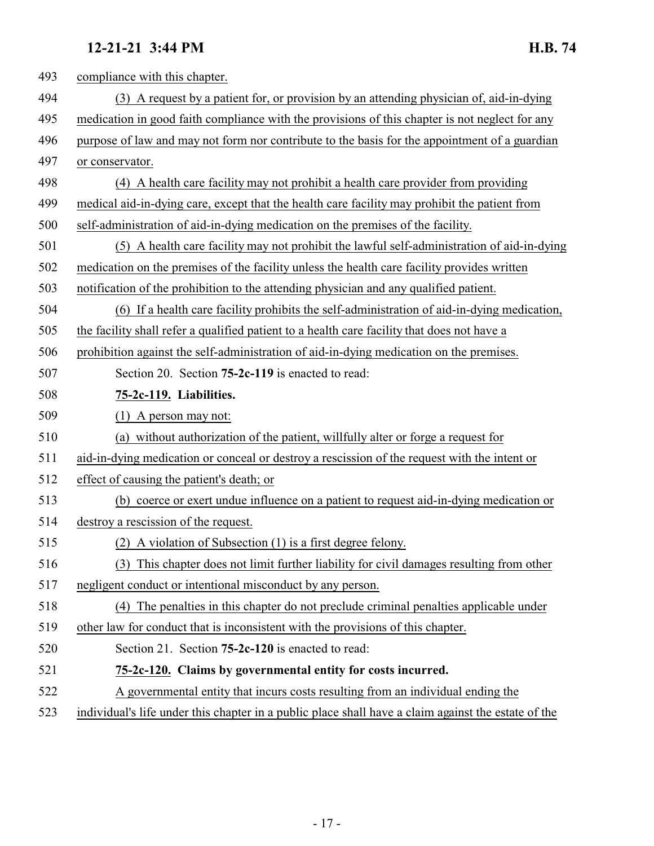<span id="page-16-1"></span><span id="page-16-0"></span>

| 493 | compliance with this chapter.                                                                       |
|-----|-----------------------------------------------------------------------------------------------------|
| 494 | (3) A request by a patient for, or provision by an attending physician of, aid-in-dying             |
| 495 | medication in good faith compliance with the provisions of this chapter is not neglect for any      |
| 496 | purpose of law and may not form nor contribute to the basis for the appointment of a guardian       |
| 497 | or conservator.                                                                                     |
| 498 | (4) A health care facility may not prohibit a health care provider from providing                   |
| 499 | medical aid-in-dying care, except that the health care facility may prohibit the patient from       |
| 500 | self-administration of aid-in-dying medication on the premises of the facility.                     |
| 501 | (5) A health care facility may not prohibit the lawful self-administration of aid-in-dying          |
| 502 | medication on the premises of the facility unless the health care facility provides written         |
| 503 | notification of the prohibition to the attending physician and any qualified patient.               |
| 504 | (6) If a health care facility prohibits the self-administration of aid-in-dying medication,         |
| 505 | the facility shall refer a qualified patient to a health care facility that does not have a         |
| 506 | prohibition against the self-administration of aid-in-dying medication on the premises.             |
| 507 | Section 20. Section 75-2c-119 is enacted to read:                                                   |
| 508 | 75-2c-119. Liabilities.                                                                             |
| 509 | $(1)$ A person may not:                                                                             |
| 510 | (a) without authorization of the patient, willfully alter or forge a request for                    |
| 511 | aid-in-dying medication or conceal or destroy a rescission of the request with the intent or        |
| 512 | effect of causing the patient's death; or                                                           |
| 513 | (b) coerce or exert undue influence on a patient to request aid-in-dying medication or              |
| 514 | destroy a rescission of the request.                                                                |
| 515 | (2) A violation of Subsection (1) is a first degree felony.                                         |
| 516 | (3) This chapter does not limit further liability for civil damages resulting from other            |
| 517 | negligent conduct or intentional misconduct by any person.                                          |
| 518 | (4) The penalties in this chapter do not preclude criminal penalties applicable under               |
| 519 | other law for conduct that is inconsistent with the provisions of this chapter.                     |
| 520 | Section 21. Section <b>75-2c-120</b> is enacted to read:                                            |
| 521 | 75-2c-120. Claims by governmental entity for costs incurred.                                        |
| 522 | A governmental entity that incurs costs resulting from an individual ending the                     |
| 523 | individual's life under this chapter in a public place shall have a claim against the estate of the |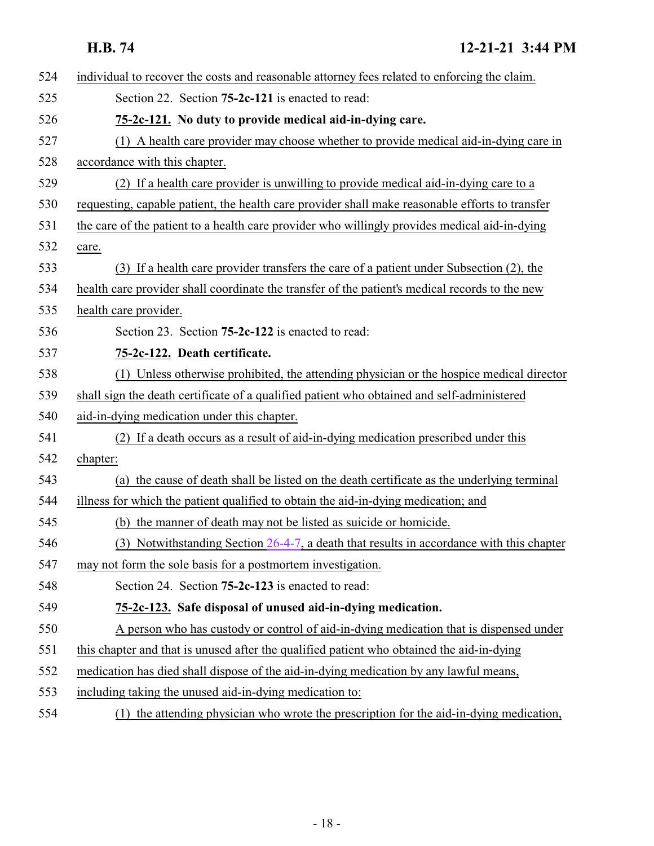<span id="page-17-2"></span><span id="page-17-1"></span><span id="page-17-0"></span>

| 524 | individual to recover the costs and reasonable attorney fees related to enforcing the claim.    |
|-----|-------------------------------------------------------------------------------------------------|
| 525 | Section 22. Section <b>75-2c-121</b> is enacted to read:                                        |
| 526 | 75-2c-121. No duty to provide medical aid-in-dying care.                                        |
| 527 | (1) A health care provider may choose whether to provide medical aid-in-dying care in           |
| 528 | accordance with this chapter.                                                                   |
| 529 | (2) If a health care provider is unwilling to provide medical aid-in-dying care to a            |
| 530 | requesting, capable patient, the health care provider shall make reasonable efforts to transfer |
| 531 | the care of the patient to a health care provider who willingly provides medical aid-in-dying   |
| 532 | care.                                                                                           |
| 533 | (3) If a health care provider transfers the care of a patient under Subsection (2), the         |
| 534 | health care provider shall coordinate the transfer of the patient's medical records to the new  |
| 535 | health care provider.                                                                           |
| 536 | Section 23. Section <b>75-2c-122</b> is enacted to read:                                        |
| 537 | 75-2c-122. Death certificate.                                                                   |
| 538 | (1) Unless otherwise prohibited, the attending physician or the hospice medical director        |
| 539 | shall sign the death certificate of a qualified patient who obtained and self-administered      |
| 540 | aid-in-dying medication under this chapter.                                                     |
| 541 | (2) If a death occurs as a result of aid-in-dying medication prescribed under this              |
| 542 | chapter:                                                                                        |
| 543 | (a) the cause of death shall be listed on the death certificate as the underlying terminal      |
| 544 | illness for which the patient qualified to obtain the aid-in-dying medication; and              |
| 545 | (b) the manner of death may not be listed as suicide or homicide.                               |
| 546 | (3) Notwithstanding Section $26-4-7$ , a death that results in accordance with this chapter     |
| 547 | may not form the sole basis for a postmortem investigation.                                     |
| 548 | Section 24. Section 75-2c-123 is enacted to read:                                               |
| 549 | 75-2c-123. Safe disposal of unused aid-in-dying medication.                                     |
| 550 | A person who has custody or control of aid-in-dying medication that is dispensed under          |
| 551 | this chapter and that is unused after the qualified patient who obtained the aid-in-dying       |
| 552 | medication has died shall dispose of the aid-in-dying medication by any lawful means,           |
| 553 | including taking the unused aid-in-dying medication to:                                         |
| 554 | the attending physician who wrote the prescription for the aid-in-dying medication,<br>(1)      |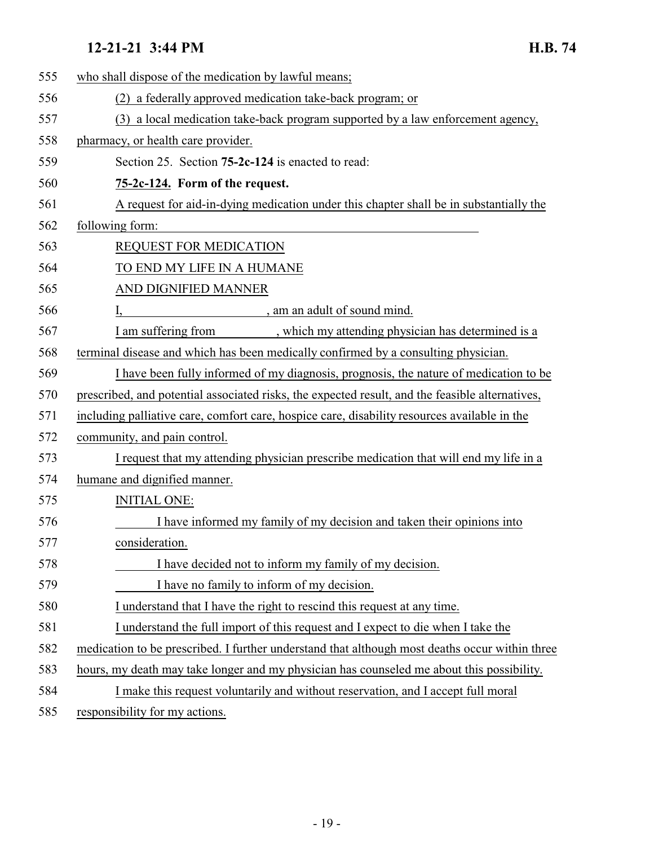<span id="page-18-0"></span>

| 555 | who shall dispose of the medication by lawful means;                                            |
|-----|-------------------------------------------------------------------------------------------------|
| 556 | (2) a federally approved medication take-back program; or                                       |
| 557 | (3) a local medication take-back program supported by a law enforcement agency,                 |
| 558 | pharmacy, or health care provider.                                                              |
| 559 | Section 25. Section 75-2c-124 is enacted to read:                                               |
| 560 | 75-2c-124. Form of the request.                                                                 |
| 561 | A request for aid-in-dying medication under this chapter shall be in substantially the          |
| 562 | following form:                                                                                 |
| 563 | <b>REQUEST FOR MEDICATION</b>                                                                   |
| 564 | TO END MY LIFE IN A HUMANE                                                                      |
| 565 | AND DIGNIFIED MANNER                                                                            |
| 566 | , am an adult of sound mind.                                                                    |
| 567 | I am suffering from<br>, which my attending physician has determined is a                       |
| 568 | terminal disease and which has been medically confirmed by a consulting physician.              |
| 569 | I have been fully informed of my diagnosis, prognosis, the nature of medication to be           |
| 570 | prescribed, and potential associated risks, the expected result, and the feasible alternatives, |
| 571 | including palliative care, comfort care, hospice care, disability resources available in the    |
| 572 | community, and pain control.                                                                    |
| 573 | I request that my attending physician prescribe medication that will end my life in a           |
| 574 | humane and dignified manner.                                                                    |
| 575 | <b>INITIAL ONE:</b>                                                                             |
| 576 | I have informed my family of my decision and taken their opinions into                          |
| 577 | consideration.                                                                                  |
| 578 | I have decided not to inform my family of my decision.                                          |
| 579 | I have no family to inform of my decision.                                                      |
| 580 | I understand that I have the right to rescind this request at any time.                         |
| 581 | I understand the full import of this request and I expect to die when I take the                |
| 582 | medication to be prescribed. I further understand that although most deaths occur within three  |
| 583 | hours, my death may take longer and my physician has counseled me about this possibility.       |
| 584 | I make this request voluntarily and without reservation, and I accept full moral                |
| EOC | المستخدم والمستحدث والمنازلة                                                                    |

585 responsibility for my actions.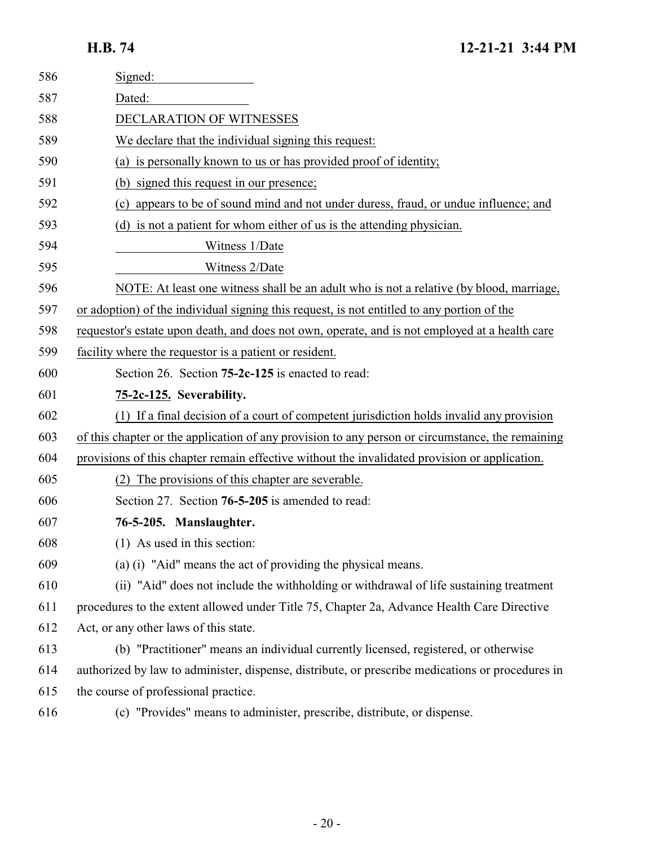<span id="page-19-1"></span><span id="page-19-0"></span>

| 586 | Signed:                                                                                          |
|-----|--------------------------------------------------------------------------------------------------|
| 587 | Dated:                                                                                           |
| 588 | DECLARATION OF WITNESSES                                                                         |
| 589 | We declare that the individual signing this request:                                             |
| 590 | (a) is personally known to us or has provided proof of identity;                                 |
| 591 | (b) signed this request in our presence;                                                         |
| 592 | (c) appears to be of sound mind and not under duress, fraud, or undue influence; and             |
| 593 | (d) is not a patient for whom either of us is the attending physician.                           |
| 594 | Witness 1/Date                                                                                   |
| 595 | Witness 2/Date                                                                                   |
| 596 | NOTE: At least one witness shall be an adult who is not a relative (by blood, marriage,          |
| 597 | or adoption) of the individual signing this request, is not entitled to any portion of the       |
| 598 | requestor's estate upon death, and does not own, operate, and is not employed at a health care   |
| 599 | facility where the requestor is a patient or resident.                                           |
| 600 | Section 26. Section <b>75-2c-125</b> is enacted to read:                                         |
| 601 | 75-2c-125. Severability.                                                                         |
| 602 | (1) If a final decision of a court of competent jurisdiction holds invalid any provision         |
| 603 | of this chapter or the application of any provision to any person or circumstance, the remaining |
| 604 | provisions of this chapter remain effective without the invalidated provision or application.    |
| 605 | (2) The provisions of this chapter are severable.                                                |
| 606 | Section 27. Section 76-5-205 is amended to read:                                                 |
| 607 | 76-5-205. Manslaughter.                                                                          |
| 608 | (1) As used in this section:                                                                     |
| 609 | (a) (i) "Aid" means the act of providing the physical means.                                     |
| 610 | (ii) "Aid" does not include the withholding or withdrawal of life sustaining treatment           |
| 611 | procedures to the extent allowed under Title 75, Chapter 2a, Advance Health Care Directive       |
| 612 | Act, or any other laws of this state.                                                            |
| 613 | (b) "Practitioner" means an individual currently licensed, registered, or otherwise              |
| 614 | authorized by law to administer, dispense, distribute, or prescribe medications or procedures in |
| 615 | the course of professional practice.                                                             |
| 616 | (c) "Provides" means to administer, prescribe, distribute, or dispense.                          |
|     |                                                                                                  |